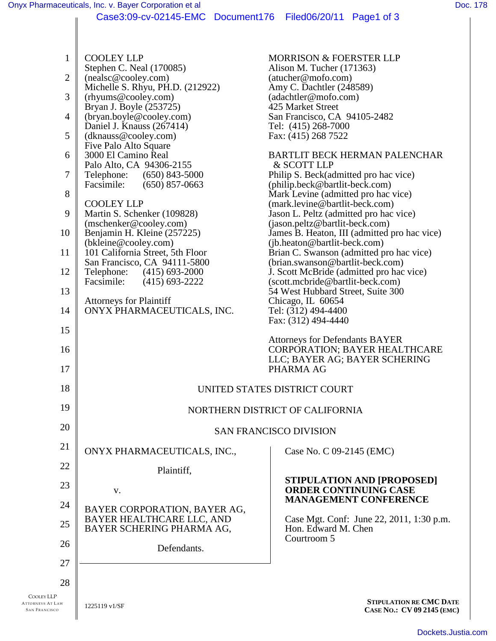COOLEY LLP ATTORNEYS AT LAW SAN FRANCISCO 1 2 3 4 5 6 7 8 9 10 11 12 13 14 15 16 17 18 19 20 21 22 23 24 25 26 27 28 1225119 v1/SF **<sup>S</sup>TIPULATION RE CMC <sup>D</sup>ATE CASE NO.: CV 09 2145 (EMC)** COOLEY LLP Stephen C. Neal (170085) (nealsc@cooley.com) Michelle S. Rhyu, PH.D. (212922) (rhyums@cooley.com) Bryan J. Boyle (253725) (bryan.boyle@cooley.com) Daniel J. Knauss (267414) (dknauss@cooley.com) Five Palo Alto Square 3000 El Camino Real Palo Alto, CA 94306-2155 Telephone: (650) 843-5000<br>Facsimile: (650) 857-0663  $(650)$  857-0663 COOLEY LLP Martin S. Schenker (109828) (mschenker@cooley.com) Benjamin H. Kleine (257225) (bkleine@cooley.com) 101 California Street, 5th Floor San Francisco, CA 94111-5800<br>Telephone: (415) 693-2000 Telephone: (415) 693-2000<br>Facsimile: (415) 693-2222  $(415)$  693-2222 Attorneys for Plaintiff ONYX PHARMACEUTICALS, INC. MORRISON & FOERSTER LLP Alison M. Tucher (171363) (atucher@mofo.com) Amy C. Dachtler (248589) (adachtler@mofo.com) 425 Market Street San Francisco, CA 94105-2482 Tel: (415) 268-7000 Fax: (415) 268 7522 BARTLIT BECK HERMAN PALENCHAR & SCOTT LLP Philip S. Beck(admitted pro hac vice) (philip.beck@bartlit-beck.com) Mark Levine (admitted pro hac vice) (mark.levine@bartlit-beck.com) Jason L. Peltz (admitted pro hac vice) (jason.peltz@bartlit-beck.com) James B. Heaton, III (admitted pro hac vice) (jb.heaton@bartlit-beck.com) Brian C. Swanson (admitted pro hac vice) (brian.swanson@bartlit-beck.com) J. Scott McBride (admitted pro hac vice) (scott.mcbride@bartlit-beck.com) 54 West Hubbard Street, Suite 300 Chicago, IL 60654 Tel: (312) 494-4400 Fax: (312) 494-4440 Attorneys for Defendants BAYER CORPORATION; BAYER HEALTHCARE LLC; BAYER AG; BAYER SCHERING PHARMA AG UNITED STATES DISTRICT COURT NORTHERN DISTRICT OF CALIFORNIA SAN FRANCISCO DIVISION ONYX PHARMACEUTICALS, INC., Plaintiff, v. BAYER CORPORATION, BAYER AG, BAYER HEALTHCARE LLC, AND BAYER SCHERING PHARMA AG, Defendants. Case No. C 09-2145 (EMC) **STIPULATION AND [PROPOSED] ORDER CONTINUING CASE MANAGEMENT CONFERENCE** Case Mgt. Conf: June 22, 2011, 1:30 p.m. Hon. Edward M. Chen Courtroom 5 Case3:09-cv-02145-EMC Document176 Filed06/20/11 Page1 of 3

[Dockets.Justia.com](http://dockets.justia.com/)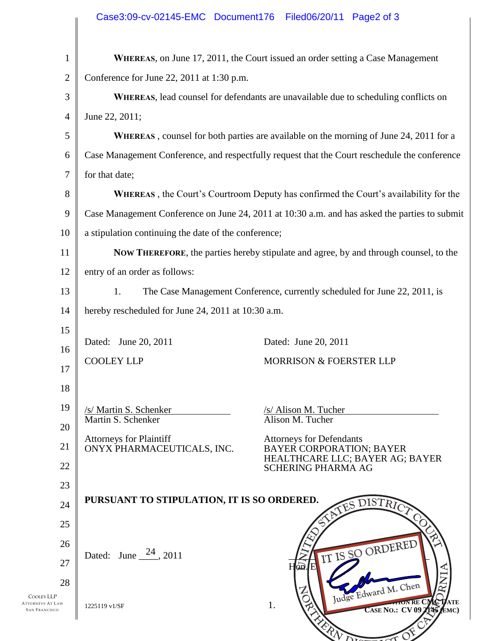|                | Case3:09-cv-02145-EMC Document176 Filed06/20/11 Page2 of 3                                    |                                                                                                       |
|----------------|-----------------------------------------------------------------------------------------------|-------------------------------------------------------------------------------------------------------|
| $\mathbf{1}$   |                                                                                               | <b>WHEREAS, on June 17, 2011, the Court issued an order setting a Case Management</b>                 |
| $\overline{2}$ | Conference for June 22, 2011 at 1:30 p.m.                                                     |                                                                                                       |
| 3              | WHEREAS, lead counsel for defendants are unavailable due to scheduling conflicts on           |                                                                                                       |
| $\overline{4}$ | June 22, 2011;                                                                                |                                                                                                       |
| 5              | <b>WHEREAS</b> , counsel for both parties are available on the morning of June 24, 2011 for a |                                                                                                       |
| 6              | Case Management Conference, and respectfully request that the Court reschedule the conference |                                                                                                       |
| 7              | for that date;                                                                                |                                                                                                       |
| 8              | <b>WHEREAS</b> , the Court's Courtroom Deputy has confirmed the Court's availability for the  |                                                                                                       |
| 9              | Case Management Conference on June 24, 2011 at 10:30 a.m. and has asked the parties to submit |                                                                                                       |
| 10             | a stipulation continuing the date of the conference;                                          |                                                                                                       |
| 11             | NOW THEREFORE, the parties hereby stipulate and agree, by and through counsel, to the         |                                                                                                       |
| 12             | entry of an order as follows:                                                                 |                                                                                                       |
| 13             | The Case Management Conference, currently scheduled for June 22, 2011, is<br>1.               |                                                                                                       |
| 14             | hereby rescheduled for June 24, 2011 at 10:30 a.m.                                            |                                                                                                       |
| 15             | Dated: June 20, 2011                                                                          | Dated: June 20, 2011                                                                                  |
| 16             | <b>COOLEY LLP</b>                                                                             | <b>MORRISON &amp; FOERSTER LLP</b>                                                                    |
| 17             |                                                                                               |                                                                                                       |
| 18             |                                                                                               |                                                                                                       |
| 19             | /s/ Martin S. Schenker<br>Martin S. Schenker                                                  | /s/ Alison M. Tucher<br>Alison M. Tucher                                                              |
| 20             | <b>Attorneys for Plaintiff</b><br>ONYX PHARMACEUTICALS, INC.                                  | <b>Attorneys for Defendants</b><br><b>BAYER CORPORATION; BAYER</b><br>HEALTHCARE LLC; BAYER AG; BAYER |
| 21             |                                                                                               |                                                                                                       |
| 22             |                                                                                               | <b>SCHERING PHARMA AG</b>                                                                             |
| 23             | PURSUANT TO STIPULATION, IT IS SO ORDERED.                                                    |                                                                                                       |
| 24             |                                                                                               | ATES DISTRI                                                                                           |
| 25             |                                                                                               |                                                                                                       |
| 26             | Dated: June $\frac{24}{1}$ , 2011                                                             | IT IS SO ORDERED                                                                                      |
| 27<br>28       |                                                                                               | ഫ്മ                                                                                                   |
|                |                                                                                               | Judge Edward M. Chen<br>TON RE CMC<br>DATE                                                            |
| W              | 1225119 v1/SF                                                                                 | 1.<br>$\widehat{\text{CASE No}}$ : CV 09 $\widehat{\text{145}}$ $\text{EMC}$ )                        |
|                |                                                                                               | ERN<br>$\overline{\mathcal{N}}$                                                                       |

COOLEY LLP ATTORNEYS AT LAW<br>San Francisco